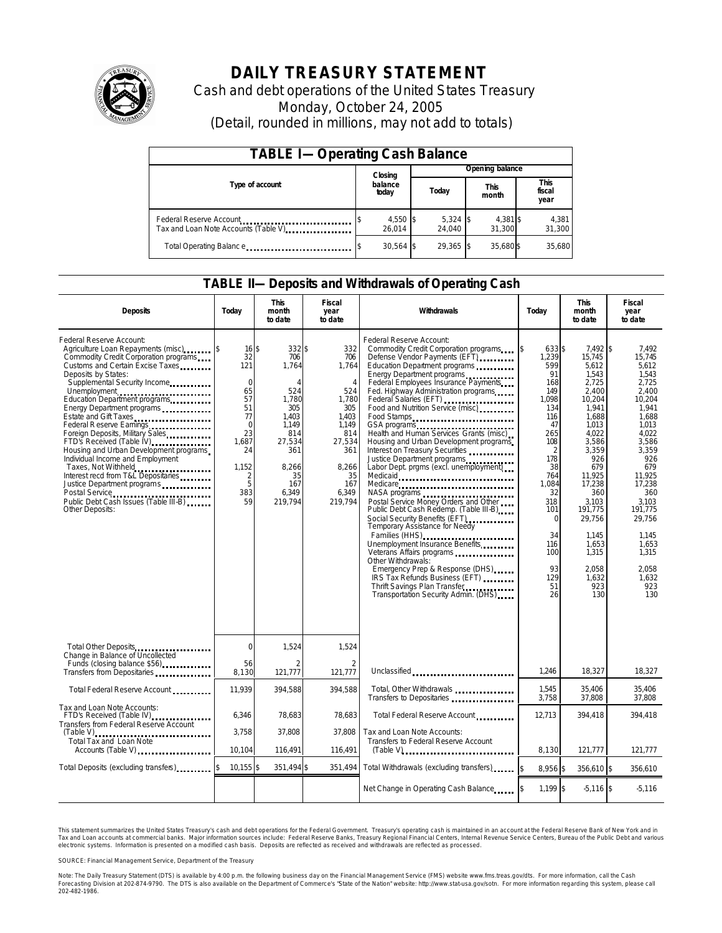

# **DAILY TREASURY STATEMENT**

Cash and debt operations of the United States Treasury Monday, October 24, 2005 (Detail, rounded in millions, may not add to totals)

| <b>TABLE I-Operating Cash Balance</b> |                  |                      |  |                      |  |                      |  |                        |  |
|---------------------------------------|------------------|----------------------|--|----------------------|--|----------------------|--|------------------------|--|
|                                       |                  | Closing              |  | Opening balance      |  |                      |  |                        |  |
| Type of account                       | balance<br>today |                      |  | Today                |  | <b>This</b><br>month |  | This<br>fiscal<br>year |  |
| Tax and Loan Note Accounts (Table V)  |                  | $4,550$ \$<br>26.014 |  | $5,324$ \$<br>24.040 |  | 4,381 \$<br>31.300   |  | 4,381<br>31,300        |  |
| Total Operating Balance               |                  | $30,564$ \$          |  | 29.365 \$            |  | 35.680\$             |  | 35,680                 |  |

#### **TABLE II—Deposits and Withdrawals of Operating Cash**

| <b>Deposits</b>                                                                                                                                                                                                                                                                                                                                                                                                                                                                                                                                                                                   | Today                                                                                                                                        | <b>This</b><br>month<br>to date                                                                                                               | Fiscal<br>year<br>to date                                                                                                                        | Withdrawals                                                                                                                                                                                                                                                                                                                                                                                                                                                                                                                                                                                                                                                                                                                                                                                                                                                                                                                                                                             | Today                                                                                                                                                                                                                              | <b>This</b><br>month<br>to date                                                                                                                                                                                                                          | Fiscal<br>year<br>to date                                                                                                                                                                                                                             |
|---------------------------------------------------------------------------------------------------------------------------------------------------------------------------------------------------------------------------------------------------------------------------------------------------------------------------------------------------------------------------------------------------------------------------------------------------------------------------------------------------------------------------------------------------------------------------------------------------|----------------------------------------------------------------------------------------------------------------------------------------------|-----------------------------------------------------------------------------------------------------------------------------------------------|--------------------------------------------------------------------------------------------------------------------------------------------------|-----------------------------------------------------------------------------------------------------------------------------------------------------------------------------------------------------------------------------------------------------------------------------------------------------------------------------------------------------------------------------------------------------------------------------------------------------------------------------------------------------------------------------------------------------------------------------------------------------------------------------------------------------------------------------------------------------------------------------------------------------------------------------------------------------------------------------------------------------------------------------------------------------------------------------------------------------------------------------------------|------------------------------------------------------------------------------------------------------------------------------------------------------------------------------------------------------------------------------------|----------------------------------------------------------------------------------------------------------------------------------------------------------------------------------------------------------------------------------------------------------|-------------------------------------------------------------------------------------------------------------------------------------------------------------------------------------------------------------------------------------------------------|
| Federal Reserve Account:<br>Agriculture Loan Repayments (misc)<br>Commodity Credit Corporation programs<br>Customs and Certain Excise Taxes<br>Deposits by States:<br>Supplemental Security Income<br>Energy Department programs<br>Estate and Gift Taxes<br><br>Federal Reserve Earnings<br>Foreign Deposits, Military Sales<br>FTD's Received (Table IV)<br>Housing and Urban Development programs<br>Individual Income and Employment<br>Taxes, Not Withheld<br>Interest recd from T&L Depositaries<br>Justice Department programs<br>Public Debt Cash Issues (Table III-B)<br>Other Deposits: | $16$ \$<br>32<br>121<br>$\mathbf 0$<br>65<br>57<br>51<br>77<br>$\mathbf 0$<br>23<br>1,687<br>24<br>1.152<br>$\overline{2}$<br>5<br>383<br>59 | 332 \$<br>706<br>1,764<br>$\Delta$<br>524<br>1,780<br>305<br>1.403<br>1.149<br>814<br>27,534<br>361<br>8.266<br>35<br>167<br>6,349<br>219,794 | 332<br>706<br>1,764<br>$\overline{4}$<br>524<br>1,780<br>305<br>1.403<br>1,149<br>814<br>27,534<br>361<br>8.266<br>35<br>167<br>6,349<br>219,794 | Federal Reserve Account:<br>Commodity Credit Corporation programs<br>Defense Vendor Payments (EFT)<br>Education Department programs<br>Energy Department programs<br>Federal Employees Insurance Payments<br>Fed. Highway Administration programs<br>Federal Salaries (EFT)<br>Food and Nutrition Service (misc)<br>Food Stamps<br>GSA programs<br>Health and Human Services Grants (misc)<br>Housing and Urban Development programs<br>Interest on Treasury Securities<br>Justice Department programs<br>Labor Dept. prgms (excl. unemployment)<br>Medicaid<br>Medicare<br>Postal Service Money Orders and Other<br>Public Debt Cash Redemp. (Table III-B)<br>Social Security Benefits (EFT)<br>Temporary Assistance for Needy<br>Families (HHS)<br>Unemployment Insurance Benefits<br>Other Withdrawals:<br>Emergency Prep & Response (DHS)<br>IRS Tax Refunds Business (EFT)<br>Thrift Savings Plan Transfer<br>Thrift Savings Plan Transfer<br>Transportation Security Admin. (DHS) | <sup>\$</sup><br>633 \$<br>1,239<br>599<br>91<br>168<br>149<br>1,098<br>134<br>116<br>47<br>265<br>108<br>$\overline{2}$<br>178<br>38<br>764<br>1,084<br>32<br>318<br>101<br>$\Omega$<br>34<br>116<br>100<br>93<br>129<br>51<br>26 | 7.492 \$<br>15,745<br>5.612<br>1.543<br>2,725<br>2,400<br>10,204<br>1,941<br>1.688<br>1,013<br>4.022<br>3,586<br>3.359<br>926<br>679<br>11.925<br>17,238<br>360<br>3,103<br>191,775<br>29,756<br>1,145<br>1,653<br>1,315<br>2.058<br>1,632<br>923<br>130 | 7.492<br>15.745<br>5.612<br>1.543<br>2,725<br>2.400<br>10,204<br>1,941<br>1.688<br>1.013<br>4.022<br>3,586<br>3.359<br>926<br>679<br>11.925<br>17,238<br>360<br>3.103<br>191.775<br>29,756<br>1.145<br>1,653<br>1,315<br>2.058<br>1,632<br>923<br>130 |
| Total Other Deposits                                                                                                                                                                                                                                                                                                                                                                                                                                                                                                                                                                              | $\Omega$                                                                                                                                     | 1,524                                                                                                                                         | 1,524                                                                                                                                            |                                                                                                                                                                                                                                                                                                                                                                                                                                                                                                                                                                                                                                                                                                                                                                                                                                                                                                                                                                                         |                                                                                                                                                                                                                                    |                                                                                                                                                                                                                                                          |                                                                                                                                                                                                                                                       |
| Change in Balance of Uncollected<br>Funds (closing balance \$56)<br>Funds (closing balance \$56)<br>Transfers from Depositaries                                                                                                                                                                                                                                                                                                                                                                                                                                                                   | 56<br>8,130                                                                                                                                  | 2<br>121,777                                                                                                                                  | $\overline{2}$<br>121,777                                                                                                                        | Unclassified                                                                                                                                                                                                                                                                                                                                                                                                                                                                                                                                                                                                                                                                                                                                                                                                                                                                                                                                                                            | 1.246                                                                                                                                                                                                                              | 18.327                                                                                                                                                                                                                                                   | 18,327                                                                                                                                                                                                                                                |
| Total Federal Reserve Account                                                                                                                                                                                                                                                                                                                                                                                                                                                                                                                                                                     | 11,939                                                                                                                                       | 394.588                                                                                                                                       | 394.588                                                                                                                                          | Total, Other Withdrawals<br>Transfers to Depositaries                                                                                                                                                                                                                                                                                                                                                                                                                                                                                                                                                                                                                                                                                                                                                                                                                                                                                                                                   | 1,545<br>3,758                                                                                                                                                                                                                     | 35,406<br>37,808                                                                                                                                                                                                                                         | 35,406<br>37,808                                                                                                                                                                                                                                      |
| Tax and Loan Note Accounts:<br>FTD's Received (Table IV)<br>Transfers from Federal Reserve Account                                                                                                                                                                                                                                                                                                                                                                                                                                                                                                | 6,346                                                                                                                                        | 78,683                                                                                                                                        | 78,683                                                                                                                                           | Total Federal Reserve Account                                                                                                                                                                                                                                                                                                                                                                                                                                                                                                                                                                                                                                                                                                                                                                                                                                                                                                                                                           | 12.713                                                                                                                                                                                                                             | 394.418                                                                                                                                                                                                                                                  | 394.418                                                                                                                                                                                                                                               |
| $(Table V)$<br><br>Total Tax and Loan Note<br>Accounts (Table V)                                                                                                                                                                                                                                                                                                                                                                                                                                                                                                                                  | 3,758<br>10,104                                                                                                                              | 37,808<br>116,491                                                                                                                             | 37,808<br>116,491                                                                                                                                | Tax and Loan Note Accounts:<br>Transfers to Federal Reserve Account<br>$(Table V)$ ,                                                                                                                                                                                                                                                                                                                                                                                                                                                                                                                                                                                                                                                                                                                                                                                                                                                                                                    | 8,130                                                                                                                                                                                                                              | 121,777                                                                                                                                                                                                                                                  | 121,777                                                                                                                                                                                                                                               |
| Total Deposits (excluding transfers)                                                                                                                                                                                                                                                                                                                                                                                                                                                                                                                                                              | $10,155$ \$                                                                                                                                  | 351,494 \$                                                                                                                                    | 351,494                                                                                                                                          | Total Withdrawals (excluding transfers)                                                                                                                                                                                                                                                                                                                                                                                                                                                                                                                                                                                                                                                                                                                                                                                                                                                                                                                                                 | 8,956 \$                                                                                                                                                                                                                           | 356,610 \$                                                                                                                                                                                                                                               | 356,610                                                                                                                                                                                                                                               |
|                                                                                                                                                                                                                                                                                                                                                                                                                                                                                                                                                                                                   |                                                                                                                                              |                                                                                                                                               |                                                                                                                                                  | Net Change in Operating Cash Balance                                                                                                                                                                                                                                                                                                                                                                                                                                                                                                                                                                                                                                                                                                                                                                                                                                                                                                                                                    | $1,199$ \$                                                                                                                                                                                                                         | $-5,116$ \$                                                                                                                                                                                                                                              | $-5,116$                                                                                                                                                                                                                                              |

This statement summarizes the United States Treasury's cash and debt operations for the Federal Government. Treasury's operating cash is maintained in an account at the Federal Reserve Bank of New York and in Tax and Loan accounts at commercial banks. Major information sources include: Federal Reserve Banks, Treasury Regional Financial Centers, Internal Revenue Service Centers, Bureau of the Public Debt and various<br>electronic s

SOURCE: Financial Management Service, Department of the Treasury

Note: The Daily Treasury Statement (DTS) is available by 4:00 p.m. the following business day on the Financial Management Service (FMS) website www.fms.treas.gov/dts.<br>Forecasting Division at 202-874-9790. The DTS is also a 'S) is available by 4:00 p.m. the following business day on the Financial Management Service (FMS) website www.fms.treas.gov/dts. For more information, call the Cash<br>The DTS is also available on the Department of Commerce'